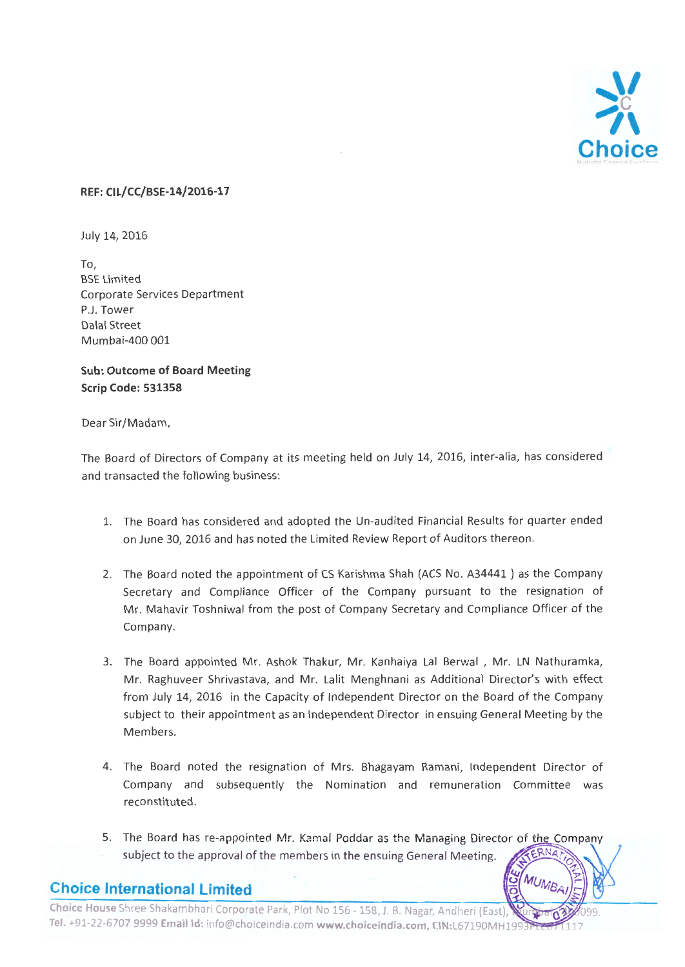

#### **REF: CIL/CC/BSE-14/2016-17**

July 14, 2016

To, BSE Limited Corporate Services Department P.J. Tower Dalal Street Mumbai-400 001

**Sub: Outcome of Board Meeting Scrip Code: 531358** 

#### Dear Sir/Madam,

The Board of Directors of Company at its meeting held on July 14, 2016, inter-alia, has considered and transacted the following business:

- 1. The Board has considered and adopted the Un-audited Financial Results for quarter ended on June 30, 2016 and has noted the Limited Review Report of Auditors thereon .
- 2. The Board noted the appointment of CS Karishma Shah (ACS No. A34441 ) as the Company Secretary and Compliance Officer of the Company pursuant to the resignation of Mr. Mahavir Toshniwal from the post of Company Secretary and Compliance Officer of the Company.
- 3. The Board appointed Mr. Ashok Thakur, Mr. Kanhaiya Lal Berwal , Mr. LN Nathuramka, Mr. Raghuveer Shrivastava, and Mr. Lalit Menghnani as Additional Director's with effect from July 14, 2016 in the Capacity of Independent Director on the Board of the Company subject to their appointment as an Independent Director in ensuing General Meeting by the Members.
- 4. The Board noted the resignation of Mrs. Bhagayam Ramani, Independent Director of Company and subsequently the Nomination and remuneration Committee was reconstituted.
- 5. The Board has re-appointed Mr. Kamal Poddar as the Managing Director of the Company ERNA subject to the approval of the members in the ensuing General Meeting.

MUMB

### **Choice International Limited**

Choice House Shree Shakambhari Corporate Park, Plot No 156 - 158, J. B. Nagar, Andheri (East), Tel. +91-22-6707 9999 Email Id: info@choiceindia.com www.choiceindia.com, CIN:L67190MH199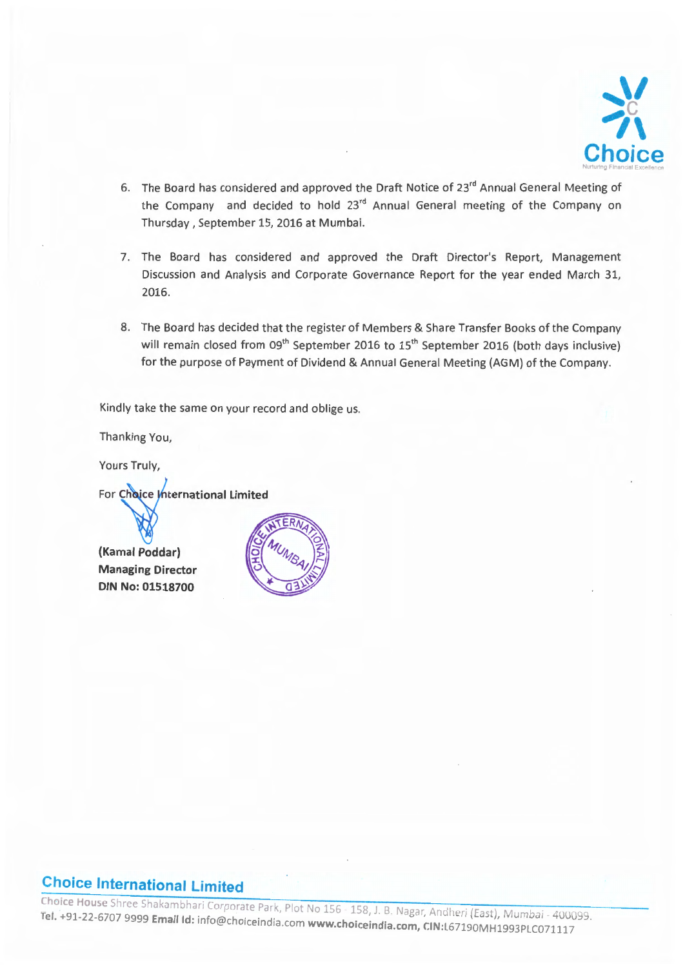

- 6. The Board has considered and approved the Draft Notice of 23<sup>rd</sup> Annual General Meeting of the Company and decided to hold 23<sup>rd</sup> Annual General meeting of the Company on Thursday, September 15, 2016 at Mumbai.
- 7. The Board has considered and approved the Draft Director's Report, Management Discussion and Analysis and Corporate Governance Report for the year ended March 31, 2016.
- 8. The Board has decided that the register of Members & Share Transfer Books of the Company will remain closed from  $09<sup>th</sup>$  September 2016 to 15<sup>th</sup> September 2016 (both days inclusive) for the purpose of Payment of Dividend & Annual General Meeting {AGM) of the Company.

Kindly take the same on your record and oblige us.

Thanking You,

Yours Truly,

For Choice International Limited

(Kamai Poddar) **Managing Director DIN No: 01518700** 



## **Choice International Limited**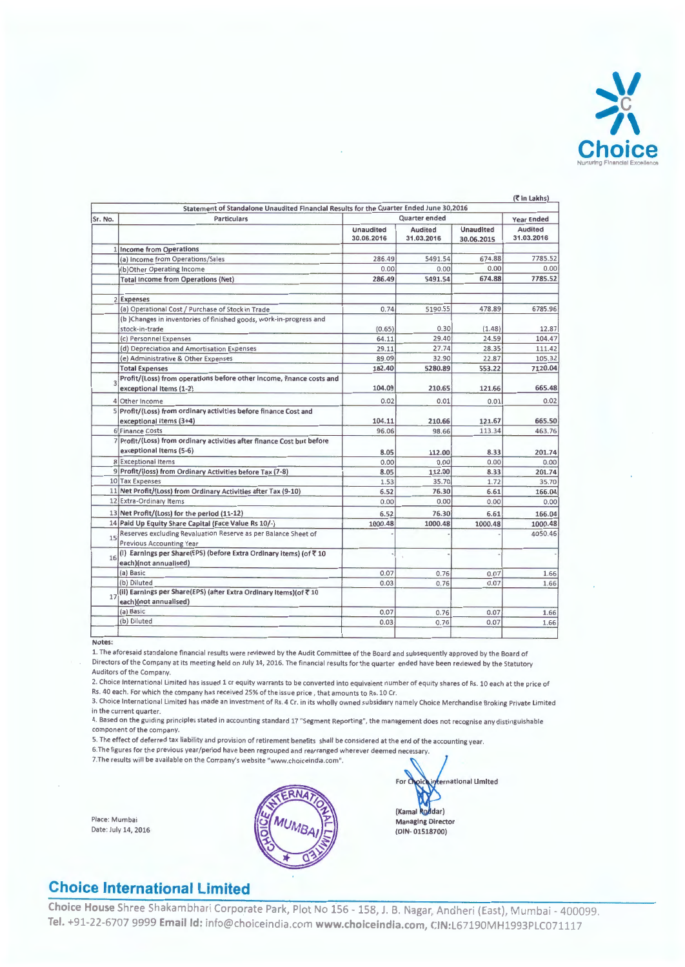

|         | Statement of Standalone Unaudited Financial Results for the Quarter Ended June 30,2016            |                                |                              |                                |                                            |
|---------|---------------------------------------------------------------------------------------------------|--------------------------------|------------------------------|--------------------------------|--------------------------------------------|
| Sr. No. | <b>Particulars</b>                                                                                |                                | Quarter ended                |                                | <b>Year Ended</b><br>Audited<br>31.03.2016 |
|         |                                                                                                   | <b>Unaudited</b><br>30.06.2016 | <b>Audited</b><br>31.03.2016 | <b>Unaudited</b><br>30.06.2015 |                                            |
|         | 1 Income from Operations                                                                          |                                |                              |                                |                                            |
|         | (a) Income from Operations/Sales                                                                  | 286.49                         | 5491.54                      | 674.88                         | 7785.52                                    |
|         | (b)Other Operating Income                                                                         | 0.00                           | 0.00                         | 0.00                           | 0.00                                       |
|         | <b>Total Income from Operations (Net)</b>                                                         | 286.49                         | 5491.54                      | 674.88                         | 7785.52                                    |
|         | 2 Expenses                                                                                        |                                |                              |                                |                                            |
|         | (a) Operational Cost / Purchase of Stock in Trade                                                 | 0.74                           | 5190.55                      | 478.89                         | 6785.96                                    |
|         | (b) Changes in inventories of finished goods, work-in-progress and<br>stock-in-trade              | (0.65)                         | 0.30                         | (1.48)                         | 12.87                                      |
|         | (c) Personnel Expenses                                                                            | 64.11                          | 29.40                        | 24.59                          | 104.47                                     |
|         | (d) Depreciation and Amortisation Expenses                                                        | 29.11                          | 27.74                        | 28.35                          | 111.42                                     |
|         | (e) Administrative & Other Expenses                                                               | 89.09                          | 32.90                        | 22.87                          | 105.32                                     |
|         | <b>Total Expenses</b>                                                                             | 182.40                         | 5280.89                      | 553.22                         | 7120.04                                    |
| 3       | Profit/(Loss) from operations before other income, finance costs and<br>exceptional Items (1-2)   | 104.09                         | 210.65                       | 121.66                         | 665.48                                     |
|         | 4 Other Income                                                                                    | 0.02                           | 0.01                         | 0.01                           | 0.02                                       |
|         | 5 Profit/(Loss) from ordinary activities before finance Cost and                                  |                                |                              |                                |                                            |
|         | exceptional items (3+4)                                                                           | 104.11                         | 210.66                       | 121.67                         | 665.50                                     |
|         | 6 Finance Costs                                                                                   | 96.06                          | 98.66                        | 113.34                         | 463.76                                     |
|         | 7 Profit/(Loss) from ordinary activities after finance Cost but before<br>exceptional Items (5-6) | 8.05                           | 112.00                       | 8.33                           | 201.74                                     |
|         | 8 Exceptional Items                                                                               | 0.00                           | 0.00                         | 0.00                           | 0.00                                       |
|         | 9 Profit/(loss) from Ordinary Activities before Tax (7-8)                                         | 8.05                           | 112.00                       | 8.33                           | 201.74                                     |
|         | 10 Tax Expenses                                                                                   | 1.53                           | 35.70                        | 1.72                           | 35.70                                      |
|         | 11 Net Profit/(Loss) from Ordinary Activities after Tax (9-10)                                    | 6.52                           | 76.30                        | 6.61                           | 166.04                                     |
|         | 12 Extra-Ordinary Items                                                                           | 0.00                           | 0.00                         | 0.00                           | 0.00                                       |
|         | 13 Net Profit/(Loss) for the period (11-12)                                                       | 6.52                           | 76.30                        | 6.61                           | 166.04                                     |
|         | 14 Paid Up Equity Share Capital (Face Value Rs 10/-)                                              | 1000.48                        | 1000.48                      | 1000.48                        | 1000.48                                    |
| 15      | Reserves excluding Revaluation Reserve as per Balance Sheet of<br><b>Previous Accounting Year</b> |                                |                              |                                | 4050.46                                    |
| 16      | (I) Earnings per Share(EPS) (before Extra Ordinary items) (of ₹10<br>each)(not annualised)        |                                |                              |                                |                                            |
|         | (a) Basic                                                                                         | 0.07                           | 0.76                         | 0.07                           | 1.66                                       |
|         | (b) Diluted                                                                                       | 0.03                           | 0.76                         | 0.07                           | 1.66                                       |
| 17      | (ii) Earnings per Share(EPS) (after Extra Ordinary items)(of ₹10<br>each)(not annualised)         |                                |                              |                                |                                            |
|         | (a) Basic                                                                                         | 0.07                           | 0.76                         | 0.07                           | 1.66                                       |
|         | (b) Diluted                                                                                       | 0.03                           | 0.76                         | 0.07                           | 1.66                                       |
|         |                                                                                                   |                                |                              |                                |                                            |

Notes:

**1. The aforesai d standalone financial results were reviewed by the Audit Committee of the Board an d subsequently approved by the Board of**  Directors of the Company at its meeting held on July 14, 2016. The financial results for the quarter ended have been reviewed by the Statutory Auditors of the Company.

**2. Choice Internationa l limited has issued 1 cr equity wa rra nts to be converted into equivalent number of equity shares of Rs. 10 each at th e price of**  Rs. 40 each. For which the company has received 25% of the issue price, that amounts to Rs. 10 Cr.

**3. Choice International Limited has made an investment of Rs. 4 Cr. in its w holly owned subsidiary namely Choice M erchandise Braking Private Limited in the current quarter.** 

**4. Based on the guiding pri nciples stated in accounting stan dard 17 "Segment Reporting", the management does not recognise any distinguishable component of the company.** 

5. The effect of deferred tax liability and provision of retirement benefits shall be considered at the end of the accounting year. **6.The figures for the previous year/period have been regrouped and rea rranged w herever deemed necessa ry.** 

**7.Th e res ults w ill be ava ilabl e on the Company's website "www.choiceindia.com".** 

Place: Mumbai Date: July 14, 2016



For ( ernational Limited (Kamal Roddar) Managing Director (DIN- 01518700)

## **Choice International Limited**

**Choice House** Shree Shakambhari Corporate Park, Plot No 156- 158, J. B. Nagar, Andheri (East), Mumbai- 400099 **Tel.** +91-22-6707 9999 **Emailld:** info@choiceindia.com **www.choiceindia.com,** c:IN:L67190MH1993PLC071117

 $(7$  in Lakhs)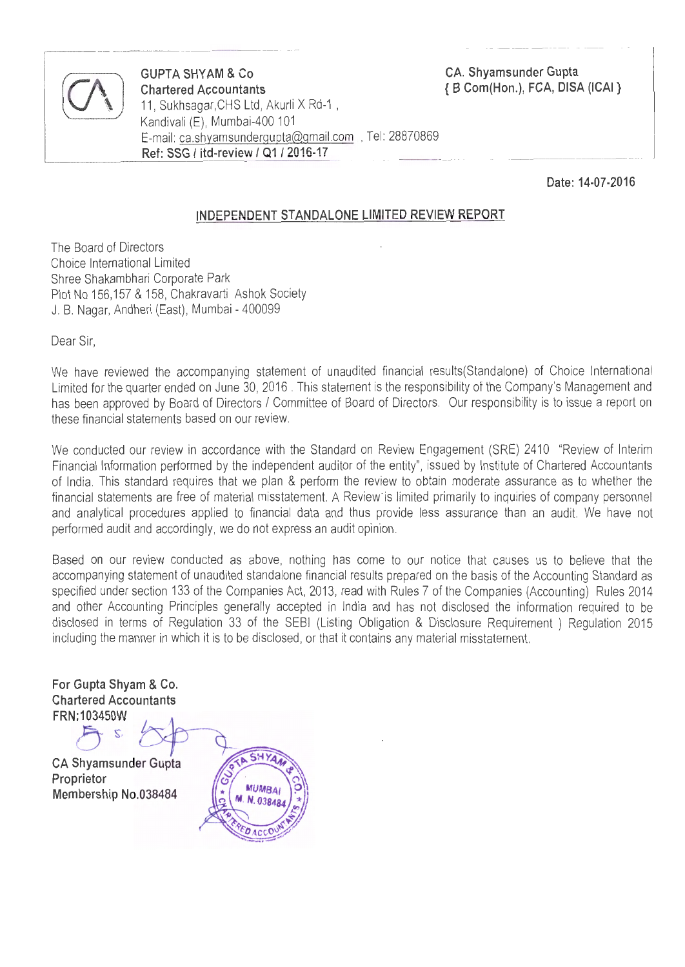

**COUPTA SHYAM & Co**<br> **Chartered Accountants**<br>
11, Sukhsagar,CHS Ltd, Akurli X Rd-1 , **Chartered Accountants**  Kandivali (E), Mumbai-400 101 E-mail: ca.shyamsundergupta@gmail.com , Tel: 28870869 **Ref: SSG I itd-review I 0112016-17** 

**CA. Shyamsunder Gupta**  { **B Com(Hon.), FCA, DISA (ICAI** }

**Date: 14-07-2016** 

#### **INDEPENDENT STANDALONE LIMITED REVIEW REPORT**

The Board of Directors Choice International Limited Shree Shakambhari Corporate Park Plot No 156,157 & 158, Chakravarti Ashok Society J. B. Nagar, Andheri (East), Mumbai - 400099

Dear Sir,

We have reviewed the accompanying statement of unaudited financial results(Standalone) of Choice International Limited for the quarter ended on June 30, 2016 . This statement is the responsibility of the Company's Management and has been approved by Board of Directors / Committee of Board of Directors. Our responsibility is to issue a report on these financial statements based on our review.

We conducted our review in accordance with the Standard on Review Engagement (SRE) 2410 "Review of Interim Financial Information performed by the independent auditor of the entity", issued by Institute of Chartered Accountants of India. This standard requires that we plan & perform the review to obtain moderate assurance as to whether the financial statements are free of material misstatement. A Review is limited primarily to inquiries of company personnel and analytical procedures applied to financial data and thus provide less assurance than an audit. We have not performed audit and accordingly, we do not express an audit opinion .

Based on our review conducted as above, nothing has come to our notice that causes us to believe that the accompanying statement of unaudited standalone financial results prepared on the basis of the Accounting Standard as specified under section 133 of the Companies Act, 2013, read with Rules 7 of the Companies (Accounting) Rules 2014 and other Accounting Principles generally accepted in India and has not disclosed the information required to be disclosed in terms of Regulation 33 of the SEBI (Listing Obligation & Disclosure Requirement ) Regulation 2015 including the manner in which it is to be disclosed, or that it contains any material misstatement.

For Gupta Shyam & Co. **Chartered Accountants** FRN:103450W

**CA Shyamsunder Gupta** Proprietor Membership No.038484

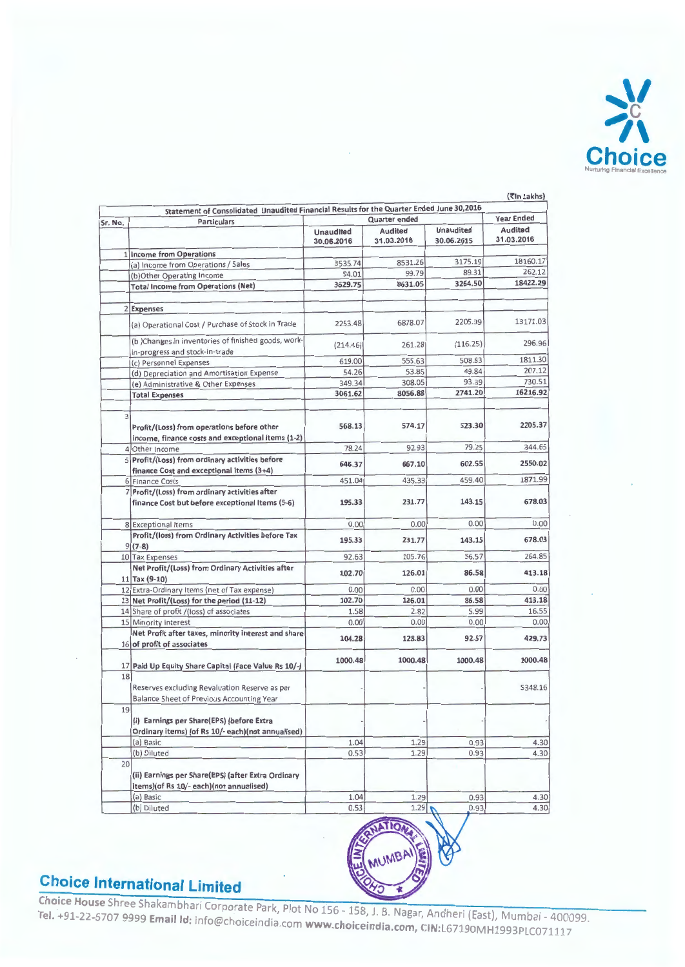

|               | Statement of Consolidated Unaudited Financial Results for the Quarter Ended June 30,2016        |                  | Quarter ended  |                  | <b>Year Ended</b> |
|---------------|-------------------------------------------------------------------------------------------------|------------------|----------------|------------------|-------------------|
| Sr. No.       | <b>Particulars</b>                                                                              | <b>Unaudited</b> | <b>Audited</b> | <b>Unaudited</b> | Audited           |
|               |                                                                                                 | 30.06.2016       | 31.03.2016     | 30.06.2015       | 31.03.2016        |
|               | 1 Income from Operations                                                                        |                  |                |                  |                   |
|               | (a) Income from Operations / Sales                                                              | 3535.74          | 8531.26        | 3175.19          | 18160.17          |
|               | (b)Other Operating Income                                                                       | 94.01            | 99.79          | 89.31            | 262.12            |
|               | <b>Total Income from Operations (Net)</b>                                                       | 3629.75          | 8631.05        | 3264.50          | 18422.29          |
|               | 2 Expenses                                                                                      |                  |                |                  |                   |
|               | (a) Operational Cost / Purchase of Stock in Trade                                               | 2253.48          | 6878.07        | 2205.39          | 13171.03          |
|               | (b) Changes in inventories of finished goods, work-                                             | (214.46)         | 261.28         | (116.25)         | 296.96            |
|               | in-progress and stock-in-trade                                                                  |                  | 555.63         | 508.83           | 1811.30           |
|               | (c) Personnel Expenses                                                                          | 619.00           | 53.85          | 49.84            | 207.12            |
|               | (d) Depreciation and Amortisation Expense                                                       | 54.26            | 308.05         | 93.39            | 730.51            |
|               | (e) Administrative & Other Expenses                                                             | 349.34           | 8056.88        | 2741.20          | 16216.92          |
|               | <b>Total Expenses</b>                                                                           | 3061.62          |                |                  |                   |
| $\frac{3}{2}$ | Profit/(Loss) from operations before other<br>income, finance costs and exceptional Items (1-2) | 568.13           | 574.17         | 523.30           | 2205.37           |
|               | 4 Other Income                                                                                  | 78.24            | 92.93          | 79.25            | 344.65            |
|               | 5 Profit/(Loss) from ordinary activities before<br>finance Cost and exceptional items (3+4)     | 646.37           | 667.10         | 602.55           | 2550.02           |
|               | 6 Finance Costs                                                                                 | 451.04           | 435.33         | 459.40           | 1871.99           |
|               | 7 Profit/(Loss) from ordinary activities after                                                  |                  |                |                  |                   |
|               | finance Cost but before exceptional Items (5-6)                                                 | 195.33           | 231.77         | 143.15           | 678.03            |
|               | 8 Exceptional Items                                                                             | 0.00             | 0.00           | 0.00             | 0.00              |
|               | Profit/(loss) from Ordinary Activities before Tax<br>$9(7-8)$                                   | 195.33           | 231.77         | 143.15           | 678.03            |
|               | 10 Tax Expenses                                                                                 | 92.63            | 105.76         | <b>S6.57</b>     | 264.85            |
|               | Net Profit/(Loss) from Ordinary Activities after<br>$11$ Tax (9-10)                             | 102.70           | 126.01         | 86.58            | 413.18            |
|               | 12 Extra-Ordinary Items (net of Tax expense)                                                    | 0.00             | 0.00           | 0.00             | 0.00              |
|               | 13 Net Profit/(Loss) for the period (11-12)                                                     | 102.70           | 126.01         | 86.58            | 413.18            |
|               | 14 Share of profit /(loss) of associates                                                        | 1.58             | 2.82           | 5.99             | 16.55             |
|               | 15 Minority Interest                                                                            | 0.00             | 0.00           | 0.00             | 0.00              |
|               | Net Profit after taxes, minority interest and share<br>16 of profit of associates               | 104.28           | 128.83         | 92.57            | 429.73            |
|               | 17 Paid Up Equity Share Capital (Face Value Rs 10/-)                                            | 1000.48          | 1000.48        | 1000.48          | 1000.48           |
| 18            |                                                                                                 |                  |                |                  |                   |
|               | Reserves excluding Revaluation Reserve as per                                                   |                  |                |                  | 5348.16           |
|               | <b>Balance Sheet of Previous Accounting Year</b>                                                |                  |                |                  |                   |
| 19            |                                                                                                 |                  |                |                  |                   |
|               | (i) Earnings per Share(EPS) (before Extra<br>Ordinary items) (of Rs 10/- each)(not annualised)  |                  |                |                  |                   |
|               | (a) Basic                                                                                       | 1.04             | 1.29           | 0.93             | 4.30              |
|               | (b) Diluted                                                                                     | 0.53             | 1.29           | 0.93             | 4.30              |
|               |                                                                                                 |                  |                |                  |                   |
| 20            | (ii) Earnings per Share(EPS) (after Extra Ordinary<br>items)(of Rs 10/- each)(not annualised)   |                  |                |                  |                   |
|               | (a) Basic                                                                                       | 1.04             | 1.29           | 0.93             | 4.30              |
|               |                                                                                                 | 0.53             | 1.29           | 0.93             | 4.30              |
|               | (b) Diluted                                                                                     |                  |                |                  |                   |

### $...$  $...$  $...$

Choice House Shree Shakambhari Corporate Park, Plot No 156 - 158, J. B. Nagar, Ancheri (East), Mumbai - 400099 **Tel.** +91-22-6707 9999 **Email ld:** info@choiceindia.com **www.choiceindia.com,** CIN:L67190MH1993PLC071117

- $\bf u$ 

**READER ASSESS**  $\sim$   $\sim$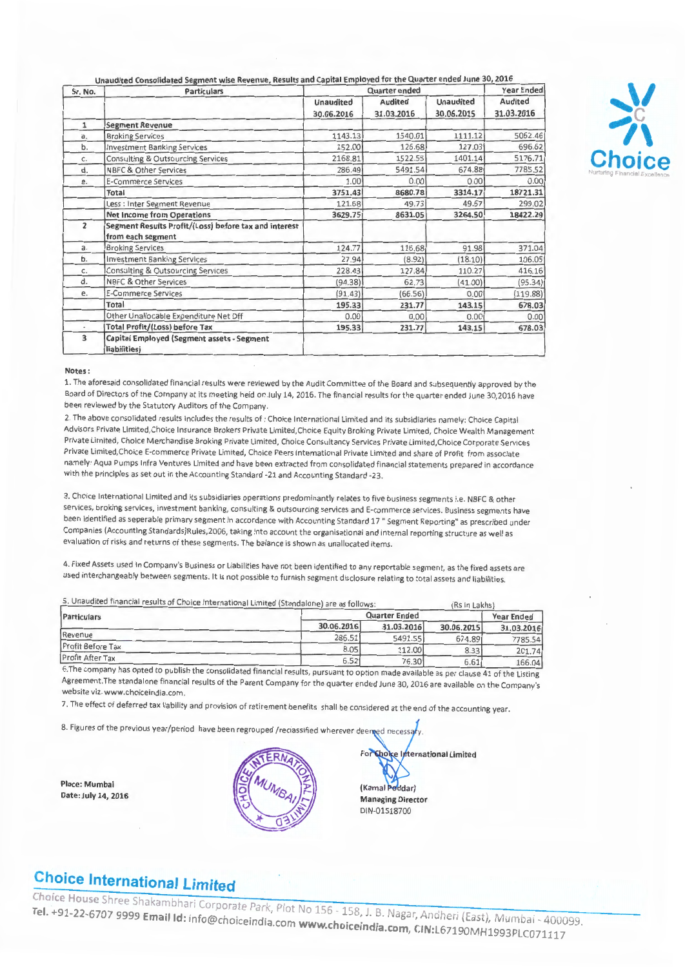Unaudited Consolidated Segment wise Revenue, Results and Capital Employed for the Quarter ended June 30, 2016

| Sr. No.        | <b>Particulars</b>                                                         | Quarter ended                  |                              |                                | <b>Year Ended</b>     |  |
|----------------|----------------------------------------------------------------------------|--------------------------------|------------------------------|--------------------------------|-----------------------|--|
|                |                                                                            | <b>Unaudited</b><br>30.06.2016 | <b>Audited</b><br>31.03.2016 | <b>Unaudited</b><br>30.06.2015 | Audited<br>31.03.2016 |  |
| $\mathbf{1}$   | <b>Segment Revenue</b>                                                     |                                |                              |                                |                       |  |
| a.             | <b>Broking Services</b>                                                    | 1143.13                        | 1540.01                      | 1111.12                        | 5062.46               |  |
| b.             | <b>Investment Banking Services</b>                                         | 152.00                         | 126.68                       | 127.03                         | 696.62                |  |
| c.             | <b>Consulting &amp; Outsourcing Services</b>                               | 2168.81                        | 1522.55                      | 1401.14                        | 5176.71               |  |
| d.             | <b>NBFC &amp; Other Services</b>                                           | 286.49                         | 5491.54                      | 674.88                         | 7785.52               |  |
| e.             | <b>E-Commerce Services</b>                                                 | 1.00                           | 0.00                         | 0.00                           | 0.001                 |  |
|                | Total                                                                      | 3751.43                        | 8680.78                      | 3314.17                        | 18721.31              |  |
|                | Less : Inter Segment Revenue                                               | 121.68                         | 49.73                        | 49.67                          | 299.02                |  |
|                | <b>Net Income from Operations</b>                                          | 3629.75                        | 8631.05                      | 3264.50                        | 18422.29              |  |
| $\overline{2}$ | Segment Results Profit/(Loss) before tax and interest<br>from each segment |                                |                              |                                |                       |  |
| a.             | <b>Broking Services</b>                                                    | 124.77                         | 116.68                       | 91.98                          | 371.04                |  |
| b.             | <b>Investment Banking Services</b>                                         | 27.94                          | (8.92)                       | (18.10)                        | 106.05                |  |
| C.             | <b>Consulting &amp; Outsourcing Services</b>                               | 228.43                         | 127.84                       | 110.27                         | 416.16                |  |
| d.             | <b>NBFC &amp; Other Services</b>                                           | (94.38)                        | 62.73                        | (41.00)                        | (95.34)               |  |
| e.             | <b>E-Commerce Services</b>                                                 | (91.43)                        | (66.56)                      | 0.00                           | (119.88)              |  |
|                | <b>Total</b>                                                               | 195.33                         | 231.77                       | 143.15                         | 678.03                |  |
|                | Other Unallocable Expenditure Net Off                                      | 0.00                           | 0.00                         | 0.00                           | 0.00                  |  |
|                | <b>Total Profit/(Loss) before Tax</b>                                      | 195.33                         | 231.77                       | 143.15                         | 678.03                |  |
| 3              | Capital Employed (Segment assets - Segment<br>liabilities)                 |                                |                              |                                |                       |  |



#### Notes :

1. The aforesaid consolidated financial results were reviewed by the Audit Committee of the Board and subsequently approved by the Board of Directors of the Company at its meeting held on July 14, 2016. The financial results for the quarter ended June 30,2016 have been reviewed by the Statutory Auditors of the Company.

2. The above consolidated results includes the results of : Choice International Limited and its subsidiaries namely: Choice Capital Advisors Private Limited,Choice Insurance Brokers Private Limited,Choice Equity Braking Private Limited, Choice Wealth Management Private Limited, Choice Merchandise Braking Private Limited, Choice Consultancy Services Private Limited,Choice Corporate Services Private Limited,Choice E-commerce Private Limited, Choice Peers International Private Limited and share of Profit from associate namely: Aqua Pumps Infra Ventures Limited and have been extracted from consolidated financial statements prepared in accordance with the principles as set out in the Accounting Standard -21 and Accounting Standard -23.

3. Choice International Limited and its subsidiaries operations predominantly relates to five business segments i.e. NBFC & other services, broking services, investment banking, consulting & outsourcing services and E-commerce services. Business segments have been identified as seperable primary segment in accordance with Accounting Standard 17" Segment Reporting" as prescribed under Companies (Accounting Standards)Rules,2006, taking into account the organisational and internal reporting structure as well as evaluation of risks and returns of these segments. The balance is shown as unallocated items.

4. Fixed Assets used in Company's Business or Liabilities have not been identified to any reportable segment, as the fixed assets are used interchangeably between segments. It is not possible to furnish segment disclosure relating to total assets and liabilities.

5. Unaudited financial results of Choice International Limited (Standalone) are as follows· (Rs in Lakhs)

| Particulars             | Quarter Ended |            |            | <b>Year Ended</b> |  |
|-------------------------|---------------|------------|------------|-------------------|--|
|                         | 30.06.2016    | 31.03.2016 | 30.06.2015 | 31.03.2016        |  |
| Revenue                 | 286.51        | 5491.55    | 674.89     | 7785.54           |  |
| Profit Before Tax       | 8.05          | 112.00     | 8.33       | 201.74            |  |
| <b>Profit After Tax</b> | 6.52          | 76.30      | 6.61       | 166.04            |  |

6.The company has opted to publish the consolidated financial results, pursuant to option made available as per clause 41 of the Listing Agreement.The standalone financial results of the Parent Company for the quarter ended June 30, 2016 are available on the Company's website viz. www. choiceindia.com.

7. The effect of deferred tax liability and provision of retirement benefits shall be considered at the end of the accounting year.

8. Figures of the previous year/period have been regrouped /reclassified wherever deemed necessary.

Place: Mumbai Date: July 14, 2016



For Choice International Limited Kamal Poddar) Managing Director DIN-01518700

# **Choice International limited**

**Choice House** Shree Shakambhari Corporate Bulletter Tel. +91-22-6707 9999 **Email Id:** info@choiceindia.com www.choiceindia.com, CIN:l6710Mheri. (East), Mumbai. 400000